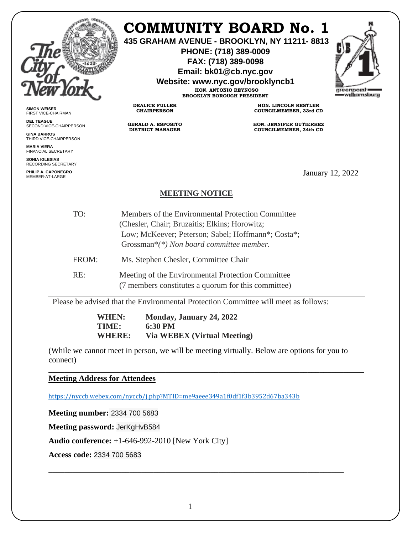

## **COMMUNITY BOARD No. 1**

**435 GRAHAM AVENUE - BROOKLYN, NY 11211- 8813**

**PHONE: (718) 389-0009 FAX: (718) 389-0098**

**Email: bk01@cb.nyc.gov**

**Website: www.nyc.gov/brooklyncb1**

**HON. ANTONIO REYNOSO BROOKLYN BOROUGH PRESIDENT**



**SIMON WEISER** FIRST VICE-CHAIRMAN

**DEL TEAGUE** SECOND VICE-CHAIRPERSON

**GINA BARROS** THIRD VICE-CHAIRPERSON

**MARIA VIERA** FINANCIAL SECRETARY

**SONIA IGLESIAS** RECORDING SECRETARY

**PHILIP A. CAPONEGRO**

**HON. LINCOLN RESTLER COUNCILMEMBER, 33rd CD**

**HON. JENNIFER GUTIERREZ COUNCILMEMBER, 34th CD**

January 12, 2022

## **MEETING NOTICE**

**DEALICE FULLER CHAIRPERSON**

**GERALD A. ESPOSITO DISTRICT MANAGER**

TO: Members of the Environmental Protection Committee (Chesler, Chair; Bruzaitis; Elkins; Horowitz; Low; McKeever; Peterson; Sabel; Hoffmann\*; Costa\*; Grossman\**(\*) Non board committee member.* FROM: Ms. Stephen Chesler, Committee Chair

RE: Meeting of the Environmental Protection Committee (7 members constitutes a quorum for this committee)

Please be advised that the Environmental Protection Committee will meet as follows:

**WHEN: Monday, January 24, 2022 TIME: 6:30 PM WHERE: Via WEBEX (Virtual Meeting)** 

(While we cannot meet in person, we will be meeting virtually. Below are options for you to connect)

\_\_\_\_\_\_\_\_\_\_\_\_\_\_\_\_\_\_\_\_\_\_\_\_\_\_\_\_\_\_\_\_\_\_\_\_\_\_\_\_\_\_\_\_\_\_\_\_\_\_\_\_\_\_\_\_\_\_\_\_\_\_\_\_\_\_\_\_\_\_\_\_\_\_\_\_\_\_ **Meeting Address for Attendees** 

<https://nyccb.webex.com/nyccb/j.php?MTID=me9aeee349a1f0df1f3b3952d67ba343b>

**Meeting number:** 2334 700 5683

**Meeting password:** JerKgHvB584

**Audio conference:** +1-646-992-2010 [New York City]

**Access code:** 2334 700 5683

\_\_\_\_\_\_\_\_\_\_\_\_\_\_\_\_\_\_\_\_\_\_\_\_\_\_\_\_\_\_\_\_\_\_\_\_\_\_\_\_\_\_\_\_\_\_\_\_\_\_\_\_\_\_\_\_\_\_\_\_\_\_\_\_\_\_\_\_\_\_\_\_\_